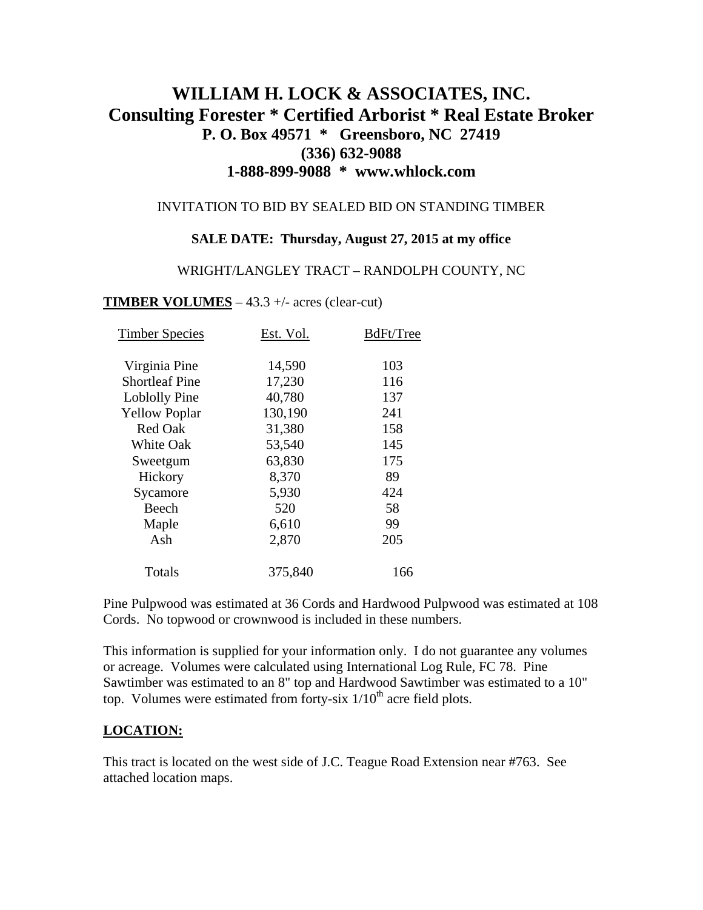# **WILLIAM H. LOCK & ASSOCIATES, INC. Consulting Forester \* Certified Arborist \* Real Estate Broker P. O. Box 49571 \* Greensboro, NC 27419 (336) 632-9088 1-888-899-9088 \* www.whlock.com**

### INVITATION TO BID BY SEALED BID ON STANDING TIMBER

#### **SALE DATE: Thursday, August 27, 2015 at my office**

#### WRIGHT/LANGLEY TRACT – RANDOLPH COUNTY, NC

#### **TIMBER VOLUMES** – 43.3 +/- acres (clear-cut)

| <b>Timber Species</b> | Est. Vol. | BdFt/Tree |
|-----------------------|-----------|-----------|
|                       |           |           |
| Virginia Pine         | 14,590    | 103       |
| <b>Shortleaf Pine</b> | 17,230    | 116       |
| <b>Loblolly Pine</b>  | 40,780    | 137       |
| <b>Yellow Poplar</b>  | 130,190   | 241       |
| <b>Red Oak</b>        | 31,380    | 158       |
| <b>White Oak</b>      | 53,540    | 145       |
| Sweetgum              | 63,830    | 175       |
| Hickory               | 8,370     | 89        |
| Sycamore              | 5,930     | 424       |
| Beech                 | 520       | 58        |
| Maple                 | 6,610     | 99        |
| Ash                   | 2,870     | 205       |
| Totals                | 375,840   | 166       |

Pine Pulpwood was estimated at 36 Cords and Hardwood Pulpwood was estimated at 108 Cords. No topwood or crownwood is included in these numbers.

This information is supplied for your information only. I do not guarantee any volumes or acreage. Volumes were calculated using International Log Rule, FC 78. Pine Sawtimber was estimated to an 8" top and Hardwood Sawtimber was estimated to a 10" top. Volumes were estimated from forty-six  $1/10<sup>th</sup>$  acre field plots.

### **LOCATION:**

This tract is located on the west side of J.C. Teague Road Extension near #763. See attached location maps.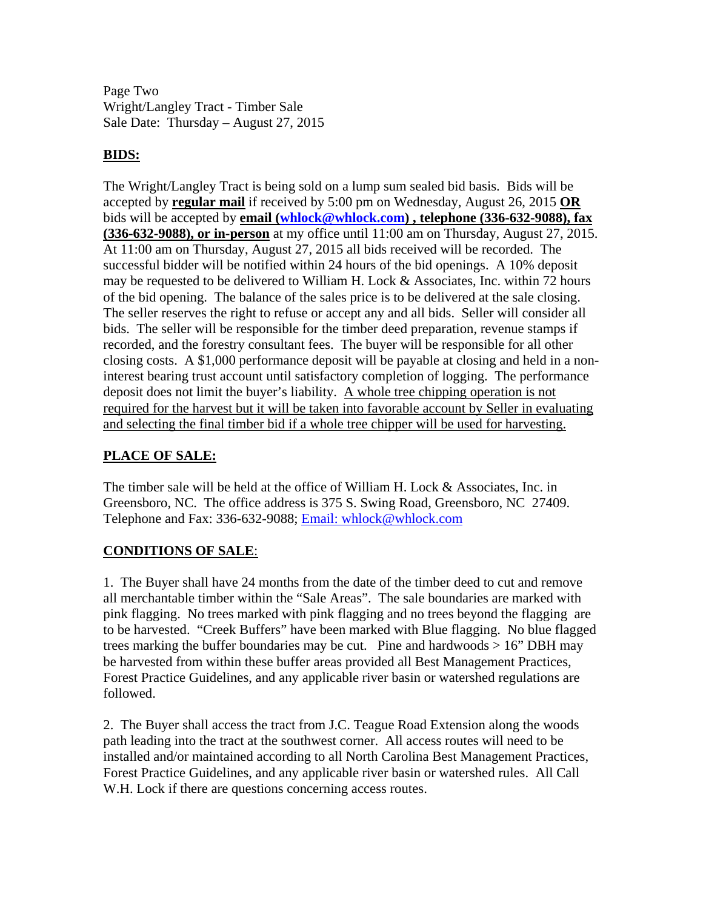Page Two Wright/Langley Tract - Timber Sale Sale Date: Thursday – August 27, 2015

# **BIDS:**

The Wright/Langley Tract is being sold on a lump sum sealed bid basis. Bids will be accepted by **regular mail** if received by 5:00 pm on Wednesday, August 26, 2015 **OR** bids will be accepted by **email ([whlock@whlock.com\)](mailto:whlock@whlock.com) , telephone (336-632-9088), fax (336-632-9088), or in-person** at my office until 11:00 am on Thursday, August 27, 2015. At 11:00 am on Thursday, August 27, 2015 all bids received will be recorded. The successful bidder will be notified within 24 hours of the bid openings. A 10% deposit may be requested to be delivered to William H. Lock  $&$  Associates, Inc. within 72 hours of the bid opening. The balance of the sales price is to be delivered at the sale closing. The seller reserves the right to refuse or accept any and all bids. Seller will consider all bids. The seller will be responsible for the timber deed preparation, revenue stamps if recorded, and the forestry consultant fees. The buyer will be responsible for all other closing costs. A \$1,000 performance deposit will be payable at closing and held in a noninterest bearing trust account until satisfactory completion of logging. The performance deposit does not limit the buyer's liability. A whole tree chipping operation is not required for the harvest but it will be taken into favorable account by Seller in evaluating and selecting the final timber bid if a whole tree chipper will be used for harvesting.

# **PLACE OF SALE:**

The timber sale will be held at the office of William H. Lock & Associates, Inc. in Greensboro, NC. The office address is 375 S. Swing Road, Greensboro, NC 27409. Telephone and Fax: 336-632-9088; Email: whlock@whlock.com

### **CONDITIONS OF SALE**:

1. The Buyer shall have 24 months from the date of the timber deed to cut and remove all merchantable timber within the "Sale Areas". The sale boundaries are marked with pink flagging. No trees marked with pink flagging and no trees beyond the flagging are to be harvested. "Creek Buffers" have been marked with Blue flagging. No blue flagged trees marking the buffer boundaries may be cut. Pine and hardwoods  $> 16$ " DBH may be harvested from within these buffer areas provided all Best Management Practices, Forest Practice Guidelines, and any applicable river basin or watershed regulations are followed.

2. The Buyer shall access the tract from J.C. Teague Road Extension along the woods path leading into the tract at the southwest corner. All access routes will need to be installed and/or maintained according to all North Carolina Best Management Practices, Forest Practice Guidelines, and any applicable river basin or watershed rules. All Call W.H. Lock if there are questions concerning access routes.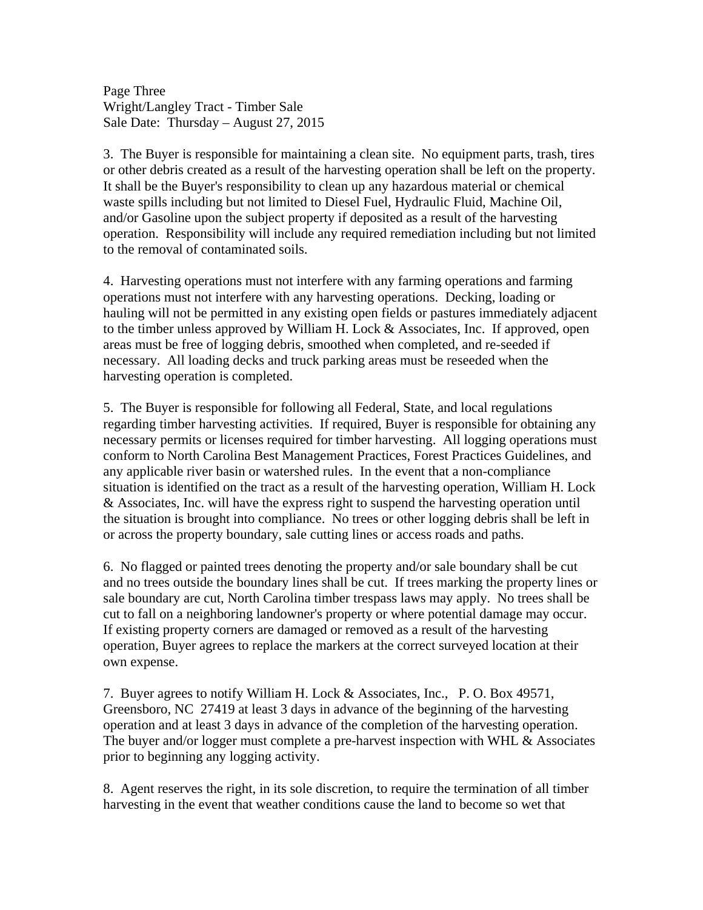Page Three Wright/Langley Tract - Timber Sale Sale Date: Thursday – August 27, 2015

3. The Buyer is responsible for maintaining a clean site. No equipment parts, trash, tires or other debris created as a result of the harvesting operation shall be left on the property. It shall be the Buyer's responsibility to clean up any hazardous material or chemical waste spills including but not limited to Diesel Fuel, Hydraulic Fluid, Machine Oil, and/or Gasoline upon the subject property if deposited as a result of the harvesting operation. Responsibility will include any required remediation including but not limited to the removal of contaminated soils.

4. Harvesting operations must not interfere with any farming operations and farming operations must not interfere with any harvesting operations. Decking, loading or hauling will not be permitted in any existing open fields or pastures immediately adjacent to the timber unless approved by William H. Lock & Associates, Inc. If approved, open areas must be free of logging debris, smoothed when completed, and re-seeded if necessary. All loading decks and truck parking areas must be reseeded when the harvesting operation is completed.

5. The Buyer is responsible for following all Federal, State, and local regulations regarding timber harvesting activities. If required, Buyer is responsible for obtaining any necessary permits or licenses required for timber harvesting. All logging operations must conform to North Carolina Best Management Practices, Forest Practices Guidelines, and any applicable river basin or watershed rules. In the event that a non-compliance situation is identified on the tract as a result of the harvesting operation, William H. Lock & Associates, Inc. will have the express right to suspend the harvesting operation until the situation is brought into compliance. No trees or other logging debris shall be left in or across the property boundary, sale cutting lines or access roads and paths.

6. No flagged or painted trees denoting the property and/or sale boundary shall be cut and no trees outside the boundary lines shall be cut. If trees marking the property lines or sale boundary are cut, North Carolina timber trespass laws may apply. No trees shall be cut to fall on a neighboring landowner's property or where potential damage may occur. If existing property corners are damaged or removed as a result of the harvesting operation, Buyer agrees to replace the markers at the correct surveyed location at their own expense.

7. Buyer agrees to notify William H. Lock & Associates, Inc., P. O. Box 49571, Greensboro, NC 27419 at least 3 days in advance of the beginning of the harvesting operation and at least 3 days in advance of the completion of the harvesting operation. The buyer and/or logger must complete a pre-harvest inspection with WHL  $\&$  Associates prior to beginning any logging activity.

8. Agent reserves the right, in its sole discretion, to require the termination of all timber harvesting in the event that weather conditions cause the land to become so wet that